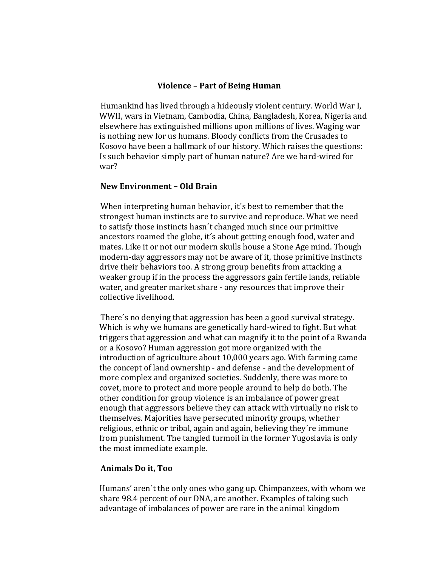### **Violence – Part of Being Human**

Humankind has lived through a hideously violent century. World War I, WWII, wars in Vietnam, Cambodia, China, Bangladesh, Korea, Nigeria and elsewhere has extinguished millions upon millions of lives. Waging war is nothing new for us humans. Bloody conflicts from the Crusades to Kosovo have been a hallmark of our history. Which raises the questions: Is such behavior simply part of human nature? Are we hard-wired for war? 

### **New Environment – Old Brain**

When interpreting human behavior, it's best to remember that the strongest human instincts are to survive and reproduce. What we need to satisfy those instincts hasn't changed much since our primitive ancestors roamed the globe, it's about getting enough food, water and mates. Like it or not our modern skulls house a Stone Age mind. Though modern-day aggressors may not be aware of it, those primitive instincts drive their behaviors too. A strong group benefits from attacking a weaker group if in the process the aggressors gain fertile lands, reliable water, and greater market share - any resources that improve their collective livelihood.

There's no denying that aggression has been a good survival strategy. Which is why we humans are genetically hard-wired to fight. But what triggers that aggression and what can magnify it to the point of a Rwanda or a Kosovo? Human aggression got more organized with the introduction of agriculture about 10,000 years ago. With farming came the concept of land ownership - and defense - and the development of more complex and organized societies. Suddenly, there was more to covet, more to protect and more people around to help do both. The other condition for group violence is an imbalance of power great enough that aggressors believe they can attack with virtually no risk to themselves. Majorities have persecuted minority groups, whether religious, ethnic or tribal, again and again, believing they're immune from punishment. The tangled turmoil in the former Yugoslavia is only the most immediate example.

# **Animals Do it, Too**

Humans' aren't the only ones who gang up. Chimpanzees, with whom we share 98.4 percent of our DNA, are another. Examples of taking such advantage of imbalances of power are rare in the animal kingdom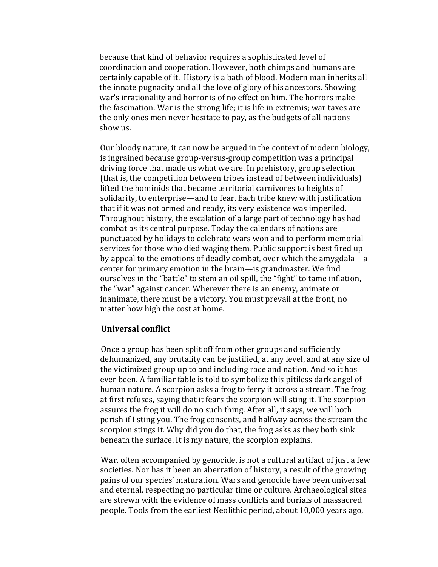because that kind of behavior requires a sophisticated level of coordination and cooperation. However, both chimps and humans are certainly capable of it. History is a bath of blood. Modern man inherits all the innate pugnacity and all the love of glory of his ancestors. Showing war's irrationality and horror is of no effect on him. The horrors make the fascination. War is the strong life; it is life in extremis; war taxes are the only ones men never hesitate to pay, as the budgets of all nations show us.

Our bloody nature, it can now be argued in the context of modern biology, is ingrained because group-versus-group competition was a principal driving force that made us what we are. In prehistory, group selection (that is, the competition between tribes instead of between individuals) lifted the hominids that became territorial carnivores to heights of solidarity, to enterprise—and to fear. Each tribe knew with justification that if it was not armed and ready, its very existence was imperiled. Throughout history, the escalation of a large part of technology has had combat as its central purpose. Today the calendars of nations are punctuated by holidays to celebrate wars won and to perform memorial services for those who died waging them. Public support is best fired up by appeal to the emotions of deadly combat, over which the amygdala—a center for primary emotion in the brain—is grandmaster. We find ourselves in the "battle" to stem an oil spill, the "fight" to tame inflation, the "war" against cancer. Wherever there is an enemy, animate or inanimate, there must be a victory. You must prevail at the front, no matter how high the cost at home.

## **Universal conflict**

Once a group has been split off from other groups and sufficiently dehumanized, any brutality can be justified, at any level, and at any size of the victimized group up to and including race and nation. And so it has ever been. A familiar fable is told to symbolize this pitiless dark angel of human nature. A scorpion asks a frog to ferry it across a stream. The frog at first refuses, saying that it fears the scorpion will sting it. The scorpion assures the frog it will do no such thing. After all, it says, we will both perish if I sting you. The frog consents, and halfway across the stream the scorpion stings it. Why did you do that, the frog asks as they both sink beneath the surface. It is my nature, the scorpion explains.

War, often accompanied by genocide, is not a cultural artifact of just a few societies. Nor has it been an aberration of history, a result of the growing pains of our species' maturation. Wars and genocide have been universal and eternal, respecting no particular time or culture. Archaeological sites are strewn with the evidence of mass conflicts and burials of massacred people. Tools from the earliest Neolithic period, about 10,000 years ago,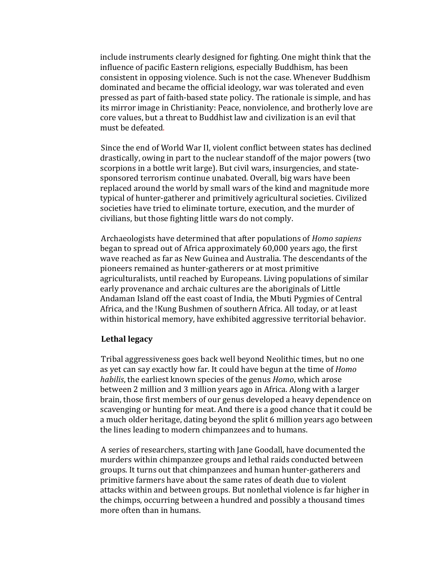include instruments clearly designed for fighting. One might think that the influence of pacific Eastern religions, especially Buddhism, has been consistent in opposing violence. Such is not the case. Whenever Buddhism dominated and became the official ideology, war was tolerated and even pressed as part of faith-based state policy. The rationale is simple, and has its mirror image in Christianity: Peace, nonviolence, and brotherly love are core values, but a threat to Buddhist law and civilization is an evil that must be defeated.

Since the end of World War II, violent conflict between states has declined drastically, owing in part to the nuclear standoff of the major powers (two scorpions in a bottle writ large). But civil wars, insurgencies, and statesponsored terrorism continue unabated. Overall, big wars have been replaced around the world by small wars of the kind and magnitude more typical of hunter-gatherer and primitively agricultural societies. Civilized societies have tried to eliminate torture, execution, and the murder of civilians, but those fighting little wars do not comply.

Archaeologists have determined that after populations of *Homo sapiens* began to spread out of Africa approximately 60,000 years ago, the first wave reached as far as New Guinea and Australia. The descendants of the pioneers remained as hunter-gatherers or at most primitive agriculturalists, until reached by Europeans. Living populations of similar early provenance and archaic cultures are the aboriginals of Little Andaman Island off the east coast of India, the Mbuti Pygmies of Central Africa, and the !Kung Bushmen of southern Africa. All today, or at least within historical memory, have exhibited aggressive territorial behavior.

#### Lethal legacy

Tribal aggressiveness goes back well beyond Neolithic times, but no one as yet can say exactly how far. It could have begun at the time of *Homo habilis*, the earliest known species of the genus *Homo*, which arose between 2 million and 3 million years ago in Africa. Along with a larger brain, those first members of our genus developed a heavy dependence on scavenging or hunting for meat. And there is a good chance that it could be a much older heritage, dating beyond the split 6 million years ago between the lines leading to modern chimpanzees and to humans.

A series of researchers, starting with Jane Goodall, have documented the murders within chimpanzee groups and lethal raids conducted between groups. It turns out that chimpanzees and human hunter-gatherers and primitive farmers have about the same rates of death due to violent attacks within and between groups. But nonlethal violence is far higher in the chimps, occurring between a hundred and possibly a thousand times more often than in humans.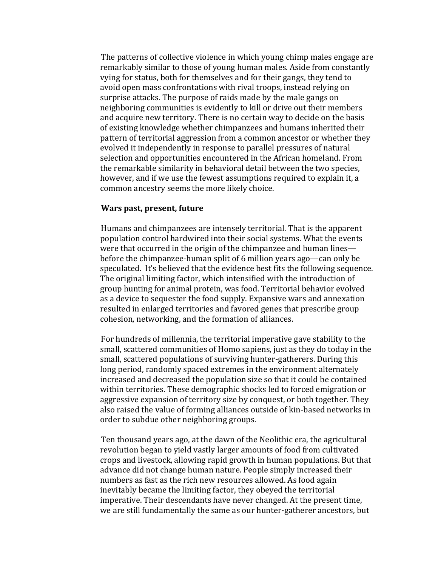The patterns of collective violence in which young chimp males engage are remarkably similar to those of young human males. Aside from constantly vying for status, both for themselves and for their gangs, they tend to avoid open mass confrontations with rival troops, instead relying on surprise attacks. The purpose of raids made by the male gangs on neighboring communities is evidently to kill or drive out their members and acquire new territory. There is no certain way to decide on the basis of existing knowledge whether chimpanzees and humans inherited their pattern of territorial aggression from a common ancestor or whether they evolved it independently in response to parallel pressures of natural selection and opportunities encountered in the African homeland. From the remarkable similarity in behavioral detail between the two species, however, and if we use the fewest assumptions required to explain it, a common ancestry seems the more likely choice.

#### **Wars past, present, future**

Humans and chimpanzees are intensely territorial. That is the apparent population control hardwired into their social systems. What the events were that occurred in the origin of the chimpanzee and human lines before the chimpanzee-human split of 6 million years ago—can only be speculated. It's believed that the evidence best fits the following sequence. The original limiting factor, which intensified with the introduction of group hunting for animal protein, was food. Territorial behavior evolved as a device to sequester the food supply. Expansive wars and annexation resulted in enlarged territories and favored genes that prescribe group cohesion, networking, and the formation of alliances.

For hundreds of millennia, the territorial imperative gave stability to the small, scattered communities of Homo sapiens, just as they do today in the small, scattered populations of surviving hunter-gatherers. During this long period, randomly spaced extremes in the environment alternately increased and decreased the population size so that it could be contained within territories. These demographic shocks led to forced emigration or aggressive expansion of territory size by conquest, or both together. They also raised the value of forming alliances outside of kin-based networks in order to subdue other neighboring groups.

Ten thousand years ago, at the dawn of the Neolithic era, the agricultural revolution began to vield vastly larger amounts of food from cultivated crops and livestock, allowing rapid growth in human populations. But that advance did not change human nature. People simply increased their numbers as fast as the rich new resources allowed. As food again inevitably became the limiting factor, they obeyed the territorial imperative. Their descendants have never changed. At the present time, we are still fundamentally the same as our hunter-gatherer ancestors, but